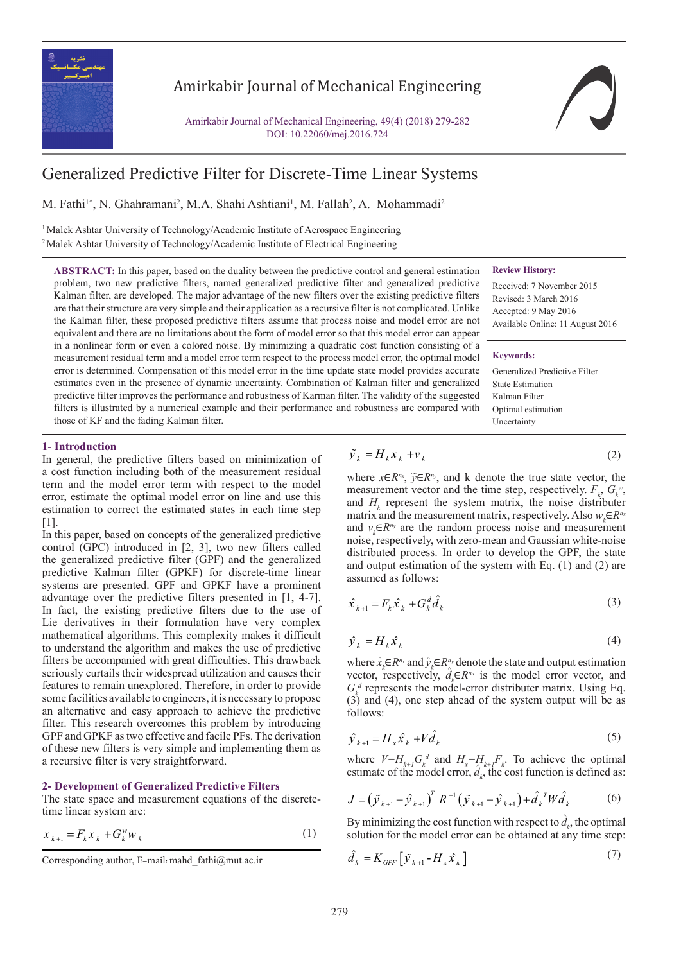

### Amirkabir Journal of Mechanical Engineering

Amirkabir Journal of Mechanical Engineering, 49(4) (2018) 279-282 DOI: 10.22060/mej.2016.724

## Generalized Predictive Filter for Discrete-Time Linear Systems

**ABSTRACT:** In this paper, based on the duality between the predictive control and general estimation problem, two new predictive filters, named generalized predictive filter and generalized predictive Kalman filter, are developed. The major advantage of the new filters over the existing predictive filters are that their structure are very simple and their application as a recursive filter is not complicated. Unlike the Kalman filter, these proposed predictive filters assume that process noise and model error are not equivalent and there are no limitations about the form of model error so that this model error can appear in a nonlinear form or even a colored noise. By minimizing a quadratic cost function consisting of a measurement residual term and a model error term respect to the process model error, the optimal model error is determined. Compensation of this model error in the time update state model provides accurate estimates even in the presence of dynamic uncertainty. Combination of Kalman filter and generalized predictive filter improves the performance and robustness of Karman filter. The validity of the suggested filters is illustrated by a numerical example and their performance and robustness are compared with *w*

M. Fathi<sup>1\*</sup>, N. Ghahramani<sup>2</sup>, M.A. Shahi Ashtiani<sup>1</sup>, M. Fallah<sup>2</sup>, A. Mohammadi<sup>2</sup>

<sup>1</sup> Malek Ashtar University of Technology/Academic Institute of Aerospace Engineering <sup>2</sup> Malek Ashtar University of Technology/Academic Institute of Electrical Engineering

#### **Review History:**

Received: 7 November 2015 Revised: 3 March 2016 Accepted: 9 May 2016 Available Online: 11 August 2016

### **Keywords:**

Generalized Predictive Filter State Estimation Kalman Filter Optimal estimation Uncertainty

### **1- Introduction**

In general, the predictive filters based on minimization of a cost function including both of the measurement residual term and the model error term with respect to the model error, estimate the optimal model error on line and use this estimation to correct the estimated states in each time step [1].

those of KF and the fading Kalman filter.

In this paper, based on concepts of the generalized predictive control (GPC) introduced in [2, 3], two new filters called the generalized predictive filter (GPF) and the generalized predictive Kalman filter (GPKF) for discrete-time linear systems are presented. GPF and GPKF have a prominent advantage over the predictive filters presented in [1, 4-7]. In fact, the existing predictive filters due to the use of Lie derivatives in their formulation have very complex mathematical algorithms. This complexity makes it difficult to understand the algorithm and makes the use of predictive filters be accompanied with great difficulties. This drawback seriously curtails their widespread utilization and causes their features to remain unexplored. Therefore, in order to provide some facilities available to engineers, it is necessary to propose an alternative and easy approach to achieve the predictive filter. This research overcomes this problem by introducing GPF and GPKF as two effective and facile PFs. The derivation of these new filters is very simple and implementing them as a recursive filter is very straightforward.

### **2- Development of Generalized Predictive Filters**

The state space and measurement equations of the discretetime linear system are:

$$
x_{k+1} = F_k x_k + G_k^w w_k \tag{1}
$$

$$
\tilde{\mathcal{Y}}_k = H_k \mathcal{X}_k + \mathcal{V}_k \tag{2}
$$

*x Fx G w*

and  $H_k$  represent the system matrix, the noise distributer assumed as follows: measurement vector and the time step, respectively.  $F_k$ ,  $G_k^w$ , and  $v_k \in R^{n_y}$  are the random process noise and measurement and output estimation of the system with Eq. (1) and (2) are<br>assumed as follows:<br> $\hat{x}_{k+1} = F_k \hat{x}_k + G_k^d \hat{d}_k$  (3) *k kk* noise, respectively, with zero-mean and Gaussian white-noise where  $x \in R^{n_x}$ ,  $\widetilde{y} \in R^{n_y}$ , and k denote the true state vector, the matrix and the measurement matrix, respectively. Also  $w_k \in R^{n_k}$ distributed process. In order to develop the GPF, the state 11<br>11<br>11 be random process noise a<br>y, with zero-mean and Gauss.<br>In order to develop the<br>attion of the system with Equation of the system with Equals the<br>site of the system with Equals  $\hat{d}_k \hat{d}_k$ <br> $\hat{\psi}_k \in \mathbb{R}^{n_d}$  is the mod

$$
\hat{x}_{k+1} = F_k \hat{x}_k + G_k^d \hat{d}_k
$$
\n(3)

$$
\hat{\mathcal{Y}}_k = H_k \hat{\mathcal{X}}_k \tag{4}
$$

where  $\hat{x}_k \in R^{n_x}$  and  $\hat{y}_k \in R^{n_y}$  denote the state and output estimation  $\begin{pmatrix} 1 & h \\ h & h \end{pmatrix}$  and stop vector, respectively,  $a_k \in \mathbb{R}^{n}$  is the model error vector, and  $G_k^d$  represents the model-error distributer matrix. Using Eq.  $\overline{\phantom{a}}$ vector, respectively,  $d_k \in \mathbb{R}^{n_d}$  is the model error vector, and  $G/d$  represents the model error vector. *J y y R y y d Wd* =− −+  $\mathbf{S}$ . *k* represents the model-error distributer r<br>
i) and (4), one step ahead of the system<br>
Ilows:  $\overline{\phantom{a}}$  *y*  $\overline{\phantom{a}}$  *y*  $\overline{\phantom{a}}$  *y*  $\overline{\phantom{a}}$  *y*  $\overline{\phantom{a}}$  *y*  $\overline{\phantom{a}}$  *y*  $\overline{\phantom{a}}$  *y*  $\overline{\phantom{a}}$  *y*  $\overline{\phantom{a}}$  *y*  $\overline{\phantom{a}}$  *y*  $\overline{\phantom{a}}$  *y*  $\overline{\phantom{a}}$  *y*  $\overline{\phantom{a}}$  *y*  $\overline{\phantom{a}}$   $\frac{1}{2}$  $\overline{a}$ .  $(3)$  and (4), one step ahead of the system output will be as follows: ^

$$
\hat{\mathcal{Y}}_{k+1} = H_x \hat{\mathcal{X}}_k + V \hat{d}_k
$$
\n(5)

 $\frac{1}{k+1}$ , and  $\frac{1}{k}$ ,  $\frac{1}{k+1}$ , it is a cost funct  $\frac{3}{2}$ *k*  $\hat{y}_{k+1} = H_x \hat{x}_k + V \hat{d}_k$ <br>where  $V = H_{k+1} G_k^d$  and  $H_x = H_{k+1} F_k$ . To achieve the originate of the model error  $\hat{d}$  the cost function is defined estimate of the model error,  $d_k$ , the cost function where  $V=H_{k+1}G_k^d$  and  $H_x=H_{k+1}F_k$ . To achieve the optimal where  $V = H_{k+1} G_k^d$  and  $H_x = H_{k+1} F_k$ . To achieve the optimal estimate of the model error,  $\hat{d}_k$ , the cost function is defined as: estimate of the model error,  $\hat{d}$ 

$$
J = \left(\tilde{\mathcal{Y}}_{k+1} - \hat{\mathcal{Y}}_{k+1}\right)^T R^{-1} \left(\tilde{\mathcal{Y}}_{k+1} - \hat{\mathcal{Y}}_{k+1}\right) + \hat{d}_k^{\,T} W \hat{d}_k \tag{6}
$$

 $\frac{1}{2}$ solution for the model error can be obtained at any time step:<br> $\hat{d} = K \quad [ \tilde{d} \quad H \hat{d} \quad ]$  (7) 1<br>11<br>=  $= (\dot{y}_{k+1} - \dot{y}_{k+1}) R^{-1} (\dot{y}_{k+1} - \dot{y}_{k+1}) + a$ <br>y minimizing the cost function with responsion for the model error can be obtain<br> $k_k = K_{GPF} [\dot{y}_{k+1} - H_x \dot{x}_k]$  $\frac{1}{u}$ By minimizing the cost function with respect to  $\hat{d}_k$ , the optimal

$$
\hat{d}_k = K_{GPF} \left[ \tilde{\mathcal{Y}}_{k+1} - H_x \hat{\mathcal{X}}_k \right]
$$
\n(7)

*y Hx v*  $\frac{1}{\sqrt{2}}$ Corresponding author, E-mail: mahd\_fathi@mut.ac.ir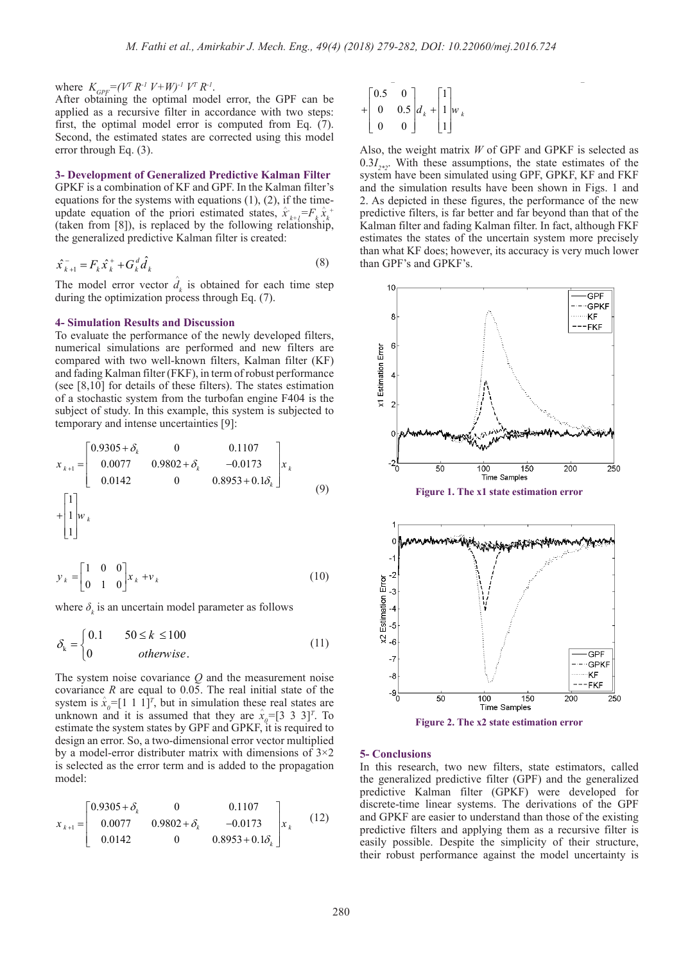where  $K_{GPF} = (V^T R^{-1} V + W)^{-1} V^T R^{-1}$ .

After obtaining the optimal model error, the GPF can be applied as a recursive filter in accordance with two steps: first, the optimal model error is computed from Eq. (7). Second, the estimated states are corrected using this model second, the estimated<br>error through Eq. (3).

# **3- Development of Generalized Predictive Kalman Filter**

**GPKF** is a combination of **KF** and GPF. In the Kalman filter's equations for the systems with equations  $(1)$ ,  $(2)$ , if the timeupdate equation of the priori estimated states,  $\hat{x}_{k+1} = F_k \hat{x}_k^+$ (taken from [8]), is replaced by the following relationship, <sup>1</sup>/<sup>2</sup> <sup>*d*</sup> <sup>*x*</sup> <sup>*d*</sup> <sup>*x*</sup> *d*<sup>*x*</sup> *d*<sup>*x*</sup> *d*<sup>*x*</sup> *d*<sup>*x*</sup> *d*<sup>*x*</sup> *d*<sup>*x*</sup> *d*<sup>*x*</sup> *d*<sup>*x*</sup> *d*<sup>*x*</sup> *d*<sup>*x*</sup> *d*<sup>*x*</sup> *d*<sup>*x*</sup> *d*<sup>*x*</sup> *d*<sup>*x*</sup> *d*<sup>*x*</sup> *d*<sup>*x*</sup> *d*<sup>*x*</sup> *d*<sup>*x*</sup> *d*<sup>*x*</sup> *d*<sup>*x*</sup> *d*<sup>*x*</sup>  $\ddot{\phantom{a}}$ *y Hx*  $\overline{a}$ 

$$
\hat{x}_{k+1}^{-} = F_k \hat{x}_k^{+} + G_k^d \hat{d}_k
$$
\n(8)

during the optimization process through Eq. (7). The model error vector  $\hat{d}_k$  is obtained for each time step *y* H *x V* 1 *k xk k* + *x Fx G w*  $\circ$  +

# **4- Simulation Results and Discussion**<br><del>Γαραβαίο 1</del> πολιτικό το στο δελτισμοποιες το στο δελτισμοποιες το στο δελτισμοποιες το στο δελτισμοποιες το στο δελ

→ Simulation Results and Discussion<br>To evaluate the performance of the newly developed filters,<br>numerical, simulations, are performed and new filters, are compared with two well-known filters, Kalman filter (KF) compared with two well-known filters, Kalman filter (KF)<br>and fading Kalman filter (FKF), in term of robust performance<br>(see [8.10] for details of these filters). The states estimation of a stochastic system from the turbofan engine F404 is the 100 To evaluate the performance of the newly developed filters,<br>numerical simulations are performed and new filters are *k* and rading Kannan rifer (FKF), in term of robust performance (see [8,10] for details of these filters). The states estimation temporary and intense uncertainties [9]:

By the following equation:

\n
$$
x_{k+1} = \begin{bmatrix}\n0.9305 + \delta_k & 0 & 0.1107 \\
0.0077 & 0.9802 + \delta_k & -0.0173 \\
0.0142 & 0 & 0.8953 + 0.1\delta_k\n\end{bmatrix} x_k
$$
\n
$$
+ \begin{bmatrix}\n1 \\
1 \\
1\n\end{bmatrix} w_k
$$
\n(9)

$$
y_k = \begin{bmatrix} 1 & 0 & 0 \\ 0 & 1 & 0 \end{bmatrix} x_k + v_k
$$
 (10)  
where  $\delta$ , is an uncertain model parameter as follows

here  $\delta$ , is an n uncertai where  $\delta_k$  is an uncertain model parameter as follows

the contract of the contract of the contract of the contract of the contract of the contract of the contract of

0.1 50 100

$$
\delta_{k} = \begin{cases} 0.1 & 50 \le k \le 100 \\ 0 & otherwise. \end{cases}
$$
 (11)

**EXECUTE THE SYSTEM HOLES COVARIANCE 6** and the measurement holes 0.9305 0 0.1107 *k* + system is  $\hat{x}_o = [1 \ 1 \ 1]^T$ , but in simulation these real states are unknown and it is assumed that they are  $\hat{x} = [3 \ 3 \ 3]^T$ . To system is  $x_0 = [1 \ 1 \ 1]^t$ , but in simulation these real states are<br>unknown and it is assumed that they are  $\hat{x}_0 = [3 \ 3 \ 3]^T$ . To<br>estimate the system states by GPF and GPKF it is required to estimate the system states by GPF and GPKF, it is required to<br>design an error. So, a two-dimensional error vector multiplied by a model-error distributer matrix with dimensions of 3×2<br>bs selected as the error term and is added to the propagation<br>model: system noise covariance Q and the measure<br>primary  $P_0$  are equal to  $0.05$ . The real initial unknown and it is assumed that they are  $x_{q-1}$ ,  $\overline{5}$ ,  $\overline{5}$ ,  $\overline{1}$ . To estimate the system states by GPF and GPKF, it is required to design an error. So, a two-dimensional error vector multiplied  $\alpha$   $\alpha$   $\alpha$   $\beta$  or  $\alpha$   $\beta$  and the measure The system noise covariance *Q* and the measurement noise covariance *R* are equal to 0.05. The real initial state of the by a model-error distributer matrix with dimensions of  $3 \times 2$ <br>is selected as the error term and is added to the propagation<br>model:  $\mathbf{0}$ model:

$$
x_{k+1} = \begin{bmatrix} 0.9305 + \delta_k & 0 & 0.1107 \\ 0.0077 & 0.9802 + \delta_k & -0.0173 \\ 0.0142 & 0 & 0.8953 + 0.1\delta_k \end{bmatrix} x_k
$$
 (12)

$$
+ \begin{bmatrix} 0.5 & 0 \\ 0 & 0.5 \\ 0 & 0 \end{bmatrix} d_k + \begin{bmatrix} 1 \\ 1 \\ 1 \end{bmatrix} w_k
$$

Also, the weight matrix *W* of GPF and GPKF is selected as  $0.3I_{\gamma*2}$ . With these assumptions, the state estimates of the system have been simulated using GPF, GPKF, KF and FKF and the simulation results have been shown in Figs. 1 and 2. As depicted in these figures, the performance of the new predictive filters, is far better and far beyond than that of the Kalman filter and fading Kalman filter. In fact, although FKF estimates the states of the uncertain system more precisely than what KF does; however, its accuracy is very much lower than GPF's and GPKF's.



### **5- Conclusions**

In this research, two new filters, state estimators, called the generalized predictive filter (GPF) and the generalized predictive Kalman filter (GPKF) were developed for discrete-time linear systems. The derivations of the GPF and GPKF are easier to understand than those of the existing predictive filters and applying them as a recursive filter is easily possible. Despite the simplicity of their structure, their robust performance against the model uncertainty is